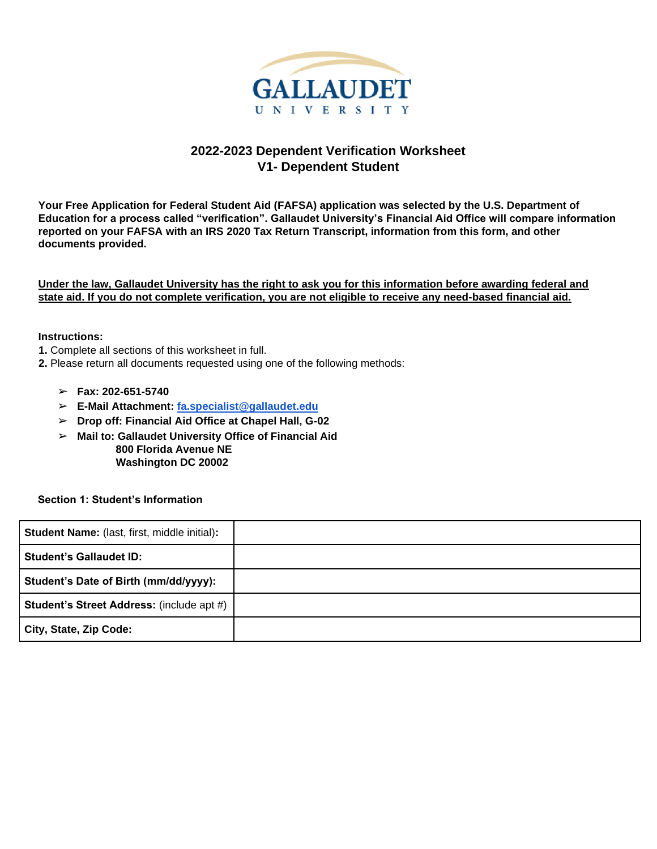

# **2022-2023 Dependent Verification Worksheet V1- Dependent Student**

**Your Free Application for Federal Student Aid (FAFSA) application was selected by the U.S. Department of Education for a process called "verification". Gallaudet University's Financial Aid Office will compare information reported on your FAFSA with an IRS 2020 Tax Return Transcript, information from this form, and other documents provided.** 

**Under the law, Gallaudet University has the right to ask you for this information before awarding federal and state aid. If you do not complete verification, you are not eligible to receive any need-based financial aid.** 

#### **Instructions:**

- **1.** Complete all sections of this worksheet in full.
- **2.** Please return all documents requested using one of the following methods:
	- ➢ **Fax: 202-651-5740**
	- ➢ **E-Mail Attachment: fa.specialist@gallaudet.edu**
	- ➢ **Drop off: Financial Aid Office at Chapel Hall, G-02**
	- ➢ **Mail to: Gallaudet University Office of Financial Aid**

 **800 Florida Avenue NE Washington DC 20002**

**Section 1: Student's Information**

| <b>Student Name:</b> (last, first, middle initial): |  |
|-----------------------------------------------------|--|
| <b>Student's Gallaudet ID:</b>                      |  |
| Student's Date of Birth (mm/dd/yyyy):               |  |
| <b>Student's Street Address: (include apt #)</b>    |  |
| City, State, Zip Code:                              |  |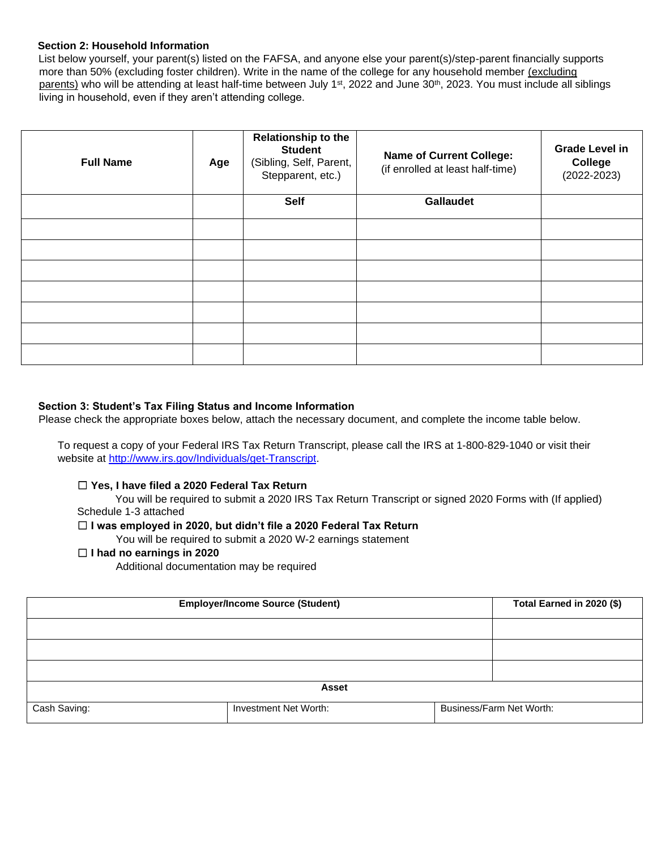### **Section 2: Household Information**

List below yourself, your parent(s) listed on the FAFSA, and anyone else your parent(s)/step-parent financially supports more than 50% (excluding foster children). Write in the name of the college for any household member (excluding parents) who will be attending at least half-time between July 1<sup>st</sup>, 2022 and June 30<sup>th</sup>, 2023. You must include all siblings living in household, even if they aren't attending college.

| <b>Full Name</b> | Age | <b>Relationship to the</b><br><b>Student</b><br>(Sibling, Self, Parent,<br>Stepparent, etc.) | <b>Name of Current College:</b><br>(if enrolled at least half-time) | <b>Grade Level in</b><br><b>College</b><br>$(2022 - 2023)$ |
|------------------|-----|----------------------------------------------------------------------------------------------|---------------------------------------------------------------------|------------------------------------------------------------|
|                  |     | <b>Self</b>                                                                                  | <b>Gallaudet</b>                                                    |                                                            |
|                  |     |                                                                                              |                                                                     |                                                            |
|                  |     |                                                                                              |                                                                     |                                                            |
|                  |     |                                                                                              |                                                                     |                                                            |
|                  |     |                                                                                              |                                                                     |                                                            |
|                  |     |                                                                                              |                                                                     |                                                            |
|                  |     |                                                                                              |                                                                     |                                                            |
|                  |     |                                                                                              |                                                                     |                                                            |

## **Section 3: Student's Tax Filing Status and Income Information**

Please check the appropriate boxes below, attach the necessary document, and complete the income table below.

To request a copy of your Federal IRS Tax Return Transcript, please call the IRS at 1-800-829-1040 or visit their website at http://www.irs.gov/Individuals/ge[t-Transcript.](http://www.irs.gov/Individuals/Order-a-Transcript)

## ☐ **Yes, I have filed a 2020 Federal Tax Return**

You will be required to submit a 2020 IRS Tax Return Transcript or signed 2020 Forms with (If applied) Schedule 1-3 attached

## ☐ **I was employed in 2020, but didn't file a 2020 Federal Tax Return**

You will be required to submit a 2020 W-2 earnings statement

### ☐ **I had no earnings in 2020**

Additional documentation may be required

| <b>Employer/Income Source (Student)</b> |                       | Total Earned in 2020 (\$) |                          |  |
|-----------------------------------------|-----------------------|---------------------------|--------------------------|--|
|                                         |                       |                           |                          |  |
|                                         |                       |                           |                          |  |
|                                         |                       |                           |                          |  |
| <b>Asset</b>                            |                       |                           |                          |  |
| Cash Saving:                            | Investment Net Worth: |                           | Business/Farm Net Worth: |  |